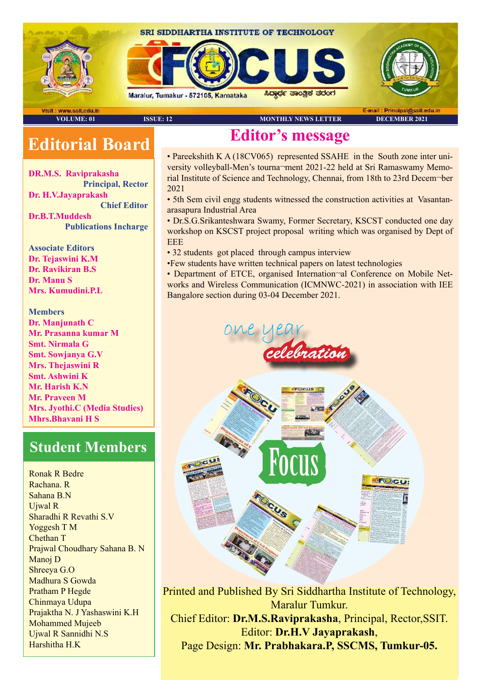

## **Editorial Board**

**DR.M.S. Raviprakasha Principal, Rector Dr. H.V.Jayaprakash Chief Editor Dr.B.T.Muddesh Publications Incharge**

**Associate Editors Dr. Tejaswini K.M Dr. Ravikiran B.S Dr. Manu S Mrs. Kumudini.P.L**

**Members Dr. Manjunath C Mr. Prasanna kumar M Smt. Nirmala G Smt. Sowjanya G.V Mrs. Thejaswini R Smt. Ashwini K Mr. Harish K.N Mr. Praveen M Mrs. Jyothi.C (Media Studies) Mhrs.Bhavani H S**

## **Student Members**

Ronak R Bedre Rachana. R Sahana B.N Ujwal R Sharadhi R Revathi S.V Yoggesh T M Chethan T Prajwal Choudhary Sahana B. N Manoj D Shreeya G.O Madhura S Gowda Pratham P Hegde Chinmaya Udupa Prajaktha N. J Yashaswini K.H Mohammed Mujeeb Ujwal R Sannidhi N.S Harshitha H.K

## **Editor's message**

• Pareekshith K A (18CV065) represented SSAHE in the South zone inter university volleyball-Men's tourna¬ment 2021-22 held at Sri Ramaswamy Memorial Institute of Science and Technology, Chennai, from 18th to 23rd Decem¬ber 2021

• 5th Sem civil engg students witnessed the construction activities at Vasantanarasapura Industrial Area

• Dr.S.G.Srikanteshwara Swamy, Former Secretary, KSCST conducted one day workshop on KSCST project proposal writing which was organised by Dept of **EEE** 

• 32 students got placed through campus interview

•Few students have written technical papers on latest technologies

• Department of ETCE, organised Internation-al Conference on Mobile Networks and Wireless Communication (ICMNWC-2021) in association with IEE Bangalore section during 03-04 December 2021.



Printed and Published By Sri Siddhartha Institute of Technology, Maralur Tumkur. Chief Editor: **Dr.M.S.Raviprakasha**, Principal, Rector,SSIT. Editor: **Dr.H.V Jayaprakash**, Page Design: **Mr. Prabhakara.P, SSCMS, Tumkur-05.**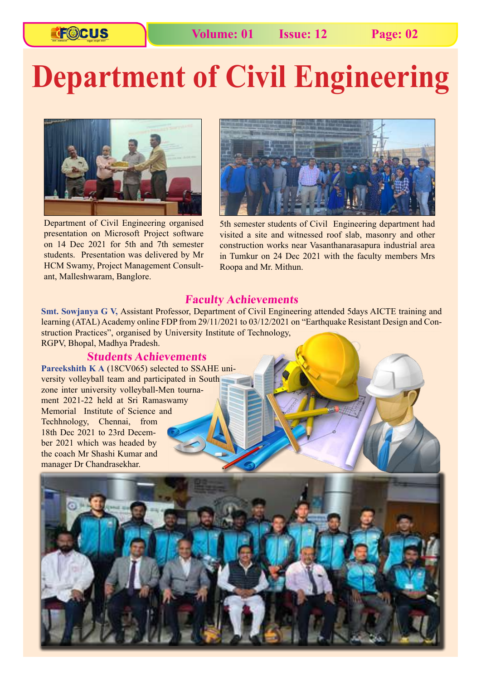# **Department of Civil Engineering**



Department of Civil Engineering organised presentation on Microsoft Project software on 14 Dec 2021 for 5th and 7th semester students. Presentation was delivered by Mr HCM Swamy, Project Management Consultant, Malleshwaram, Banglore.



5th semester students of Civil Engineering department had visited a site and witnessed roof slab, masonry and other construction works near Vasanthanarasapura industrial area in Tumkur on 24 Dec 2021 with the faculty members Mrs Roopa and Mr. Mithun.

#### **Faculty Achievements**

**Smt. Sowjanya G V,** Assistant Professor, Department of Civil Engineering attended 5days AICTE training and learning (ATAL) Academy online FDP from 29/11/2021 to 03/12/2021 on "Earthquake Resistant Design and Construction Practices", organised by University Institute of Technology, RGPV, Bhopal, Madhya Pradesh.

#### **Students Achievements**

**Pareekshith K A** (18CV065) selected to SSAHE university volleyball team and participated in South zone inter university volleyball-Men tournament 2021-22 held at Sri Ramaswamy Memorial Institute of Science and Techhnology, Chennai, from 18th Dec 2021 to 23rd December 2021 which was headed by the coach Mr Shashi Kumar and manager Dr Chandrasekhar.

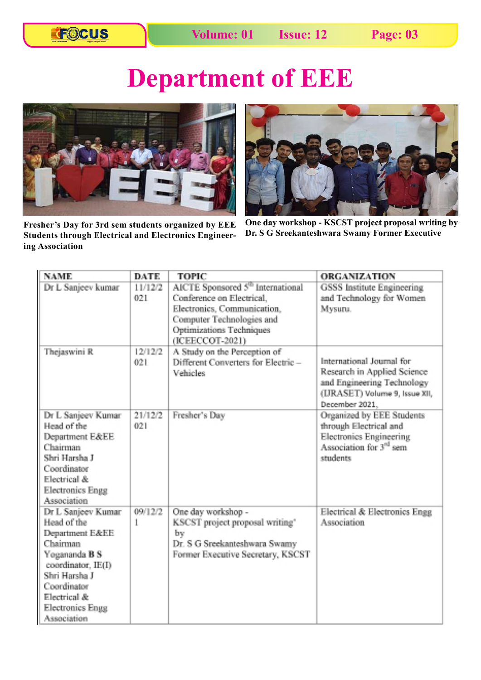## **Department of EEE**



**Fresher's Day for 3rd sem students organized by EEE Students through Electrical and Electronics Engineering Association** 



**One day workshop - KSCST project proposal writing by Dr. S G Sreekanteshwara Swamy Former Executive**

| <b>NAME</b>             | <b>DATE</b> | <b>TOPIC</b>                                  | <b>ORGANIZATION</b>                 |
|-------------------------|-------------|-----------------------------------------------|-------------------------------------|
| Dr L Sanieev kumar      | 11/12/2     | AICTE Sponsored 5 <sup>th</sup> International | GSSS Institute Engineering          |
|                         | 021         | Conference on Electrical.                     | and Technology for Women            |
|                         |             | Electronics, Communication,                   | Mysuru.                             |
|                         |             | Computer Technologies and                     |                                     |
|                         |             | Optimizations Techniques                      |                                     |
|                         |             | (ICEECCOT-2021)                               |                                     |
| Thejaswini R            | 12/12/2     | A Study on the Perception of                  |                                     |
|                         | 021         | Different Converters for Electric-            | International Journal for           |
|                         |             | Vehicles                                      | Research in Applied Science         |
|                         |             |                                               | and Engineering Technology          |
|                         |             |                                               | (URASET) Volume 9, Issue XII,       |
|                         |             |                                               | December 2021.                      |
| Dr L Sanjeev Kumar      | 21/12/2     | Fresher's Dav                                 | Organized by EEE Students           |
| Head of the             | 021         |                                               | through Electrical and              |
| Department E&EE         |             |                                               | Electronics Engineering             |
| Chairman                |             |                                               | Association for 3 <sup>rd</sup> sem |
| Shri Harsha J           |             |                                               | students                            |
| Coordinator             |             |                                               |                                     |
| Electrical &            |             |                                               |                                     |
| <b>Electronics Engg</b> |             |                                               |                                     |
| Association             |             |                                               |                                     |
| Dr L Sanjeev Kumar      | 09/12/2     | One day workshop -                            | Electrical & Electronics Engg       |
| Head of the             | 1           | KSCST project proposal writing'               | Association                         |
| Department E&EE         |             | by                                            |                                     |
| Chairman                |             | Dr. S G Sreekanteshwara Swamy                 |                                     |
| Yogananda B S           |             | Former Executive Secretary, KSCST             |                                     |
| coordinator, IE(I)      |             |                                               |                                     |
| Shri Harsha J           |             |                                               |                                     |
| Coordinator             |             |                                               |                                     |
| Electrical &            |             |                                               |                                     |
| <b>Electronics Engg</b> |             |                                               |                                     |
| Association             |             |                                               |                                     |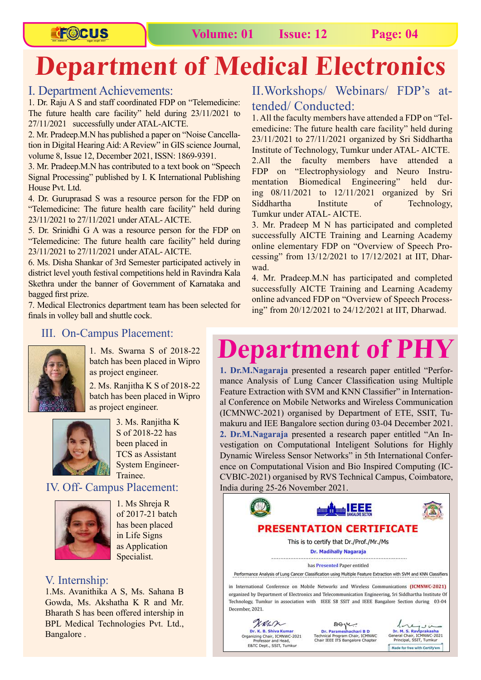## **FOCUS**

## **Department of Medical Electronics**

### I. Department Achievements:

1. Dr. Raju A S and staff coordinated FDP on "Telemedicine: The future health care facility" held during 23/11/2021 to 27/11/2021 successfully under ATAL-AICTE.

2. Mr. Pradeep.M.N has published a paper on "Noise Cancellation in Digital Hearing Aid: A Review" in GIS science Journal, volume 8, Issue 12, December 2021, ISSN: 1869-9391.

3. Mr. Pradeep.M.N has contributed to a text book on "Speech Signal Processing" published by I. K International Publishing House Pvt. Ltd.

4. Dr. Guruprasad S was a resource person for the FDP on "Telemedicine: The future health care facility" held during 23/11/2021 to 27/11/2021 under ATAL- AICTE.

5. Dr. Srinidhi G A was a resource person for the FDP on "Telemedicine: The future health care facility" held during 23/11/2021 to 27/11/2021 under ATAL- AICTE.

6. Ms. Disha Shankar of 3rd Semester participated actively in district level youth festival competitions held in Ravindra Kala Skethra under the banner of Government of Karnataka and bagged first prize.

7. Medical Electronics department team has been selected for finals in volley ball and shuttle cock.

## II.Workshops/ Webinars/ FDP's attended/ Conducted:

1. All the faculty members have attended a FDP on "Telemedicine: The future health care facility" held during 23/11/2021 to 27/11/2021 organized by Sri Siddhartha Institute of Technology, Tumkur under ATAL- AICTE. 2.All the faculty members have attended a FDP on "Electrophysiology and Neuro Instrumentation Biomedical Engineering" held during 08/11/2021 to 12/11/2021 organized by Sri Siddhartha Institute of Technology, Tumkur under ATAL- AICTE.

3. Mr. Pradeep M N has participated and completed successfully AICTE Training and Learning Academy online elementary FDP on "Overview of Speech Processing" from 13/12/2021 to 17/12/2021 at IIT, Dharwad.

4. Mr. Pradeep.M.N has participated and completed successfully AICTE Training and Learning Academy online advanced FDP on "Overview of Speech Processing" from 20/12/2021 to 24/12/2021 at IIT, Dharwad.

### III. On-Campus Placement:



1. Ms. Swarna S of 2018-22 batch has been placed in Wipro as project engineer.

2. Ms. Ranjitha K S of 2018-22 batch has been placed in Wipro as project engineer.



3. Ms. Ranjitha K S of 2018-22 has been placed in TCS as Assistant System Engineer-Trainee.

### IV. Off- Campus Placement:



1. Ms Shreja R of 2017-21 batch has been placed in Life Signs as Application Specialist.

### V. Internship:

1.Ms. Avanithika A S, Ms. Sahana B Gowda, Ms. Akshatha K R and Mr. Bharath S has been offered intership in BPL Medical Technologies Pvt. Ltd., Bangalore .

## **Department of PHY**

**1. Dr.M.Nagaraja** presented a research paper entitled "Performance Analysis of Lung Cancer Classification using Multiple Feature Extraction with SVM and KNN Classifier" in International Conference on Mobile Networks and Wireless Communication (ICMNWC-2021) organised by Department of ETE, SSIT, Tumakuru and IEE Bangalore section during 03-04 December 2021. **2. Dr.M.Nagaraja** presented a research paper entitled "An Investigation on Computational Inteligent Solutions for Highly Dynamic Wireless Sensor Networks" in 5th International Conference on Computational Vision and Bio Inspired Computing (IC-CVBIC-2021) organised by RVS Technical Campus, Coimbatore, India during 25-26 November 2021.

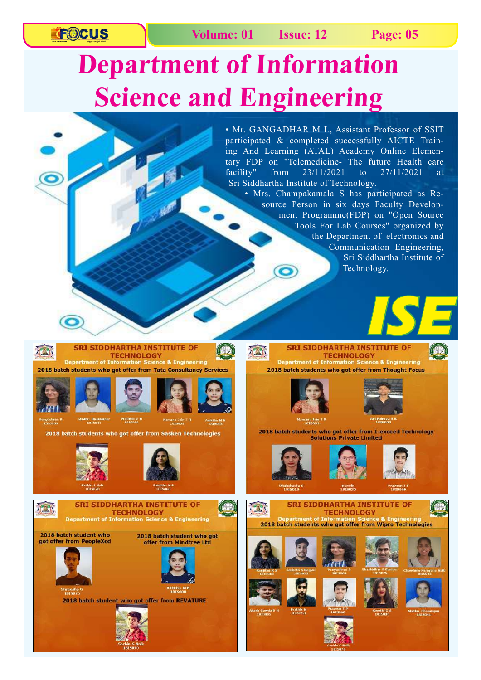**TF©CUS** 

## **Department of Information Science and Engineering**

• Mr. GANGADHAR M L, Assistant Professor of SSIT participated & completed successfully AICTE Training And Learning (ATAL) Academy Online Elementary FDP on "Telemedicine- The future Health care facility" from 23/11/2021 to 27/11/2021 at Sri Siddhartha Institute of Technology.

• Mrs. Champakamala S has participated as Resource Person in six days Faculty Development Programme(FDP) on "Open Source Tools For Lab Courses" organized by the Department of electronics and Communication Engineering, Sri Siddhartha Institute of Technology.



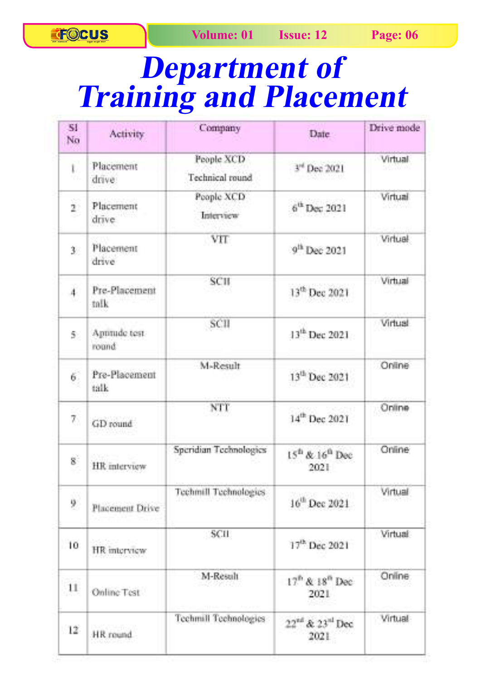## **Department of Training and Placement**

| 51<br>No                  | <b>Activity</b>        | Company                       | Date:                             | Drive mode                |
|---------------------------|------------------------|-------------------------------|-----------------------------------|---------------------------|
| Ū<br>YT.                  | Placement<br>drive.    | People XCD<br>Technical round | 3 <sup>rd</sup> Dec 2021          | Virtual                   |
| ř<br>÷                    | Placement<br>drive.    | People XCD<br>Interview       | 6 <sup>th</sup> Dec 2021          | Virtual                   |
| 30.                       | Placement<br>drive     | VIT <sup>-</sup>              | 0 <sup>th</sup> Dec 2021          | Virtual                   |
| $\overline{A}$            | Pre-Placement<br>talk  | SCII                          | 13 <sup>th</sup> Dec 2021         | Virtual                   |
| $\tilde{y}$ )             | Approde test.<br>round | SCII                          | 13 <sup>th</sup> Dec 2021         | Virtual                   |
| $\vec{6}$                 | Pre-Placement<br>talk  | M-Result                      | 13 <sup>th</sup> Dec 2021         | Online                    |
| 7.                        | GD round               | NTT                           | 14 <sup>th</sup> Dec 2021         | Online                    |
| $\mathbf{g}^{\mathbb{C}}$ | HR interview           | Speridian Technologies        | $15^{th}$ & $16^{th}$ Dec<br>2021 | Online                    |
| Ŷ                         | Placement Drive        | Techmill Technologies         | $16^{th}$ Dec 2021                | <b>SERVICE</b><br>Virtual |
| 10                        | HR interview           | <b>SCII</b>                   | $17^{th}$ Dec 2021                | <b>Mirtual</b>            |
| 11                        | Online Test            | M-Result                      | $17th$ & $18th$ Dec-<br>2021      | Online                    |
| $-12$                     | HR round               | <b>Technull Technologies</b>  | $22^{nt}$ & $23^{nt}$ Dec<br>2021 | Virtual                   |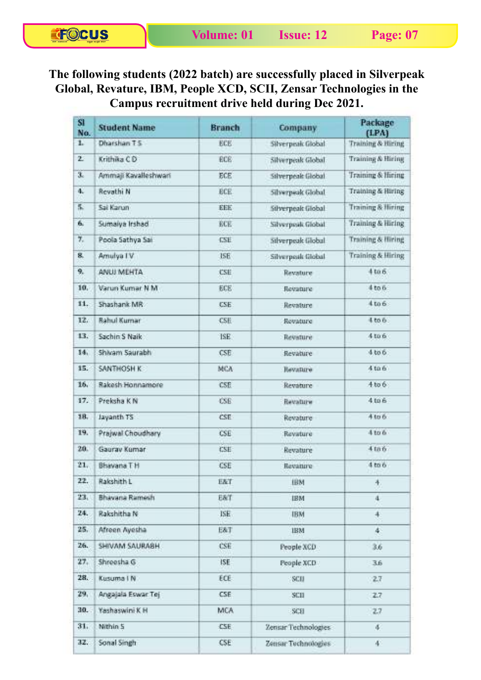## **The following students (2022 batch) are successfully placed in Silverpeak Global, Revature, IBM, People XCD, SCII, Zensar Technologies in the Campus recruitment drive held during Dec 2021.**

| S1<br>No.               | <b>Student Name</b>   | <b>Branch</b> | Company             | Package<br>(LPA)             |
|-------------------------|-----------------------|---------------|---------------------|------------------------------|
| T.                      | Dharshan T.S.         | ECE           | Silverpeak Global   | Training & Hiring            |
| $\mathbf{z}$            | Krithika C.D.         | ECE           | Silverpeak Global   | <b>Training &amp; Hiring</b> |
| $\overline{\mathbf{3}}$ | Ammail Kavalleshwari  | ECE           | Silverpeak Global   | Training & Higing            |
| $4.$                    | <b>Revathi N</b>      | <b>BCE</b>    | Silverpeak Global   | <b>Training &amp; Hiring</b> |
| T.                      | <b>Sai Kanan</b>      | <b>EEE</b>    | Silverneak Global   | <b>Training &amp; Hiring</b> |
| Ġ.                      | Sumaiva Irshad        | <b>BCE</b>    | Silverpeak Global   | Training & Hiring            |
| Ŧ.                      | Poola Sathya Sat      | CSH:          | Silverpeak filobal  | Training & Hiring            |
| g.                      | Amulya TV             | <b>ISE</b>    | Silverposk filobal  | <b>Training &amp; Hiring</b> |
| Q.                      | ANUI MEHTA            | <b>CSE</b>    | Revature            | 4006                         |
| 10.                     | Varun Kumar N.M.      | ECE           | Revenure            | 4 to 6                       |
| 11.                     | Shashank MR           | CSE.          | Revisions           | 4006                         |
| 32.                     | <b>Bahul Kumar</b>    | <b>CSH</b>    | Revature            | 4.00 6                       |
| 13.                     | Sachin S Naile        | TSE:          | Reveture            | 410.61                       |
| 14.                     | Shikam Saurabhi       | CSE           | Revature            | 4.666                        |
| 35.                     | SANTHOSH K:           | MCA           | Heysture            | 4.666                        |
| 16.                     | Rakesh Honnamore      | <b>CSE</b>    | Revature            | $4$ to $6$                   |
| 17.                     | Preksha K N           | <b>CSE</b>    | Revature            | 4006                         |
| 18.                     | Jayanth TS            | <b>CSE</b>    | Revature            | 4 to 6                       |
| 19.                     | Praiwal Choudhary     | CSE           | Ravatura            | 4 to 6                       |
| 20.                     | Gauray Kumar          | <b>CSE</b>    | Revature            | 41n6                         |
| 21.                     | <b>Bhavana T H</b>    | CSE           | Revaiure            | 4 <sub>tr</sub>              |
| 22.                     | Rakshith L            | EAT           | <b>IBM</b>          | 牛.                           |
| 23.                     | <b>Bhavana Ramesh</b> | E&T           | <b>IBM</b>          | $\ddot{a}$                   |
| 24.                     | Rakshitha N           | ISE.          | <b>IBM</b>          | $\ddot{+}$                   |
| 25.                     | Afreen Avesha         | E&T           | <b>IEM</b>          | 45                           |
| 26.                     | SHIVAM SAURABH        | CSE           | People XCD          | 36%                          |
| 27.                     | Shreesha G            | ISE.          | People XXIII.       | 3.6                          |
| 28.                     | Kusuma I N            | ECE.          | <b>SCB</b>          | 27                           |
| 29.                     | Angajala Eswar Tej    | CSE:          | SCII                | 27                           |
| 30.                     | Yashaswini K H        | <b>MCA</b>    | $-900$              | 2.7                          |
| 31.                     | Nithin 5              | CSE.          | Zensar Technologies | 41                           |
| 32.                     | Sonal Singh           | CSE:          | Zensar Technologies | 41                           |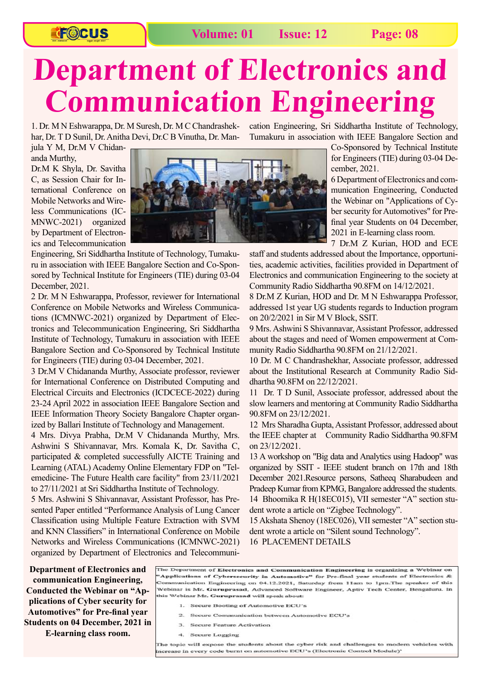## **FOCUS**

### **Volume: 01 Issue: 12 Page: 08**

## **Department of Electronics and Communication Engineering**

1. Dr. M N Eshwarappa, Dr. M Suresh, Dr. M C Chandrashekhar, Dr. T D Sunil, Dr. Anitha Devi, Dr.C B Vinutha, Dr. Man-

jula Y M, Dr.M V Chidananda Murthy,

Dr.M K Shyla, Dr. Savitha C, as Session Chair for International Conference on Mobile Networks and Wireless Communications (IC-MNWC-2021) organized by Department of Electronics and Telecommunication



Engineering, Sri Siddhartha Institute of Technology, Tumakuru in association with IEEE Bangalore Section and Co-Sponsored by Technical Institute for Engineers (TIE) during 03-04 December, 2021.

2 Dr. M N Eshwarappa, Professor, reviewer for International Conference on Mobile Networks and Wireless Communications (ICMNWC-2021) organized by Department of Electronics and Telecommunication Engineering, Sri Siddhartha Institute of Technology, Tumakuru in association with IEEE Bangalore Section and Co-Sponsored by Technical Institute for Engineers (TIE) during 03-04 December, 2021.

3 Dr.M V Chidananda Murthy, Associate professor, reviewer for International Conference on Distributed Computing and Electrical Circuits and Electronics (ICDCECE-2022) during 23-24 April 2022 in association IEEE Bangalore Section and IEEE Information Theory Society Bangalore Chapter organized by Ballari Institute of Technology and Management.

4 Mrs. Divya Prabha, Dr.M V Chidananda Murthy, Mrs. Ashwini S Shivannavar, Mrs. Komala K, Dr. Savitha C, participated & completed successfully AICTE Training and Learning (ATAL) Academy Online Elementary FDP on "Telemedicine- The Future Health care facility" from 23/11/2021 to 27/11/2021 at Sri Siddhartha Institute of Technology.

5 Mrs. Ashwini S Shivannavar, Assistant Professor, has Presented Paper entitled "Performance Analysis of Lung Cancer Classification using Multiple Feature Extraction with SVM and KNN Classifiers" in International Conference on Mobile Networks and Wireless Communications (ICMNWC-2021) organized by Department of Electronics and Telecommunication Engineering, Sri Siddhartha Institute of Technology, Tumakuru in association with IEEE Bangalore Section and

> Co-Sponsored by Technical Institute for Engineers (TIE) during 03-04 December, 2021.

> 6 Department of Electronics and communication Engineering, Conducted the Webinar on "Applications of Cyber security for Automotives" for Prefinal year Students on 04 December, 2021 in E-learning class room.

> 7 Dr.M Z Kurian, HOD and ECE

staff and students addressed about the Importance, opportunities, academic activities, facilities provided in Department of Electronics and communication Engineering to the society at Community Radio Siddhartha 90.8FM on 14/12/2021.

8 Dr.M Z Kurian, HOD and Dr. M N Eshwarappa Professor, addressed 1st year UG students regards to Induction program on 20/2/2021 in Sir M V Block, SSIT.

9 Mrs. Ashwini S Shivannavar, Assistant Professor, addressed about the stages and need of Women empowerment at Community Radio Siddhartha 90.8FM on 21/12/2021.

10 Dr. M C Chandrashekhar, Associate professor, addressed about the Institutional Research at Community Radio Siddhartha 90.8FM on 22/12/2021.

11 Dr. T D Sunil, Associate professor, addressed about the slow learners and mentoring at Community Radio Siddhartha 90.8FM on 23/12/2021.

12 Mrs Sharadha Gupta, Assistant Professor, addressed about the IEEE chapter at Community Radio Siddhartha 90.8FM on 23/12/2021.

13 A workshop on "Big data and Analytics using Hadoop" was organized by SSIT - IEEE student branch on 17th and 18th December 2021.Resource persons, Satheeq Sharabudeen and Pradeep Kumar from KPMG, Bangalore addressed the students. 14 Bhoomika R H(18EC015), VII semester "A" section student wrote a article on "Zigbee Technology".

15 Akshata Shenoy (18EC026), VII semester "A" section student wrote a article on "Silent sound Technology".

16 PLACEMENT DETAILS

**Department of Electronics and communication Engineering, Conducted the Webinar on "Applications of Cyber security for Automotives" for Pre-final year Students on 04 December, 2021 in E-learning class room.**

The Department of Electronics and Communication Engineering is organizing a Webinar on 'Applications of Cybersecurity in Automotive" for Pre-final year students of Electronics & Communication Engineering on 04.12.2021, Saturday from 11am to 1pm.The speaker of this Webinar is Mr. Guruprasad, Advanced Software Engineer, Aptiv Tech Center, Bengaluru. In this Webinar Mr. Guruprasad will speak about:

- 1. Secure Booting of Automotive ECU's
- 2. Secure Communication between Automotive ECU's
- 3. Secure Feature Activation
- 4. Secure Logging

The topic will expose the students about the cyber risk and challenges to modern vehicles with increase in every code burnt on automotive ECU's (Electronic Control Module)'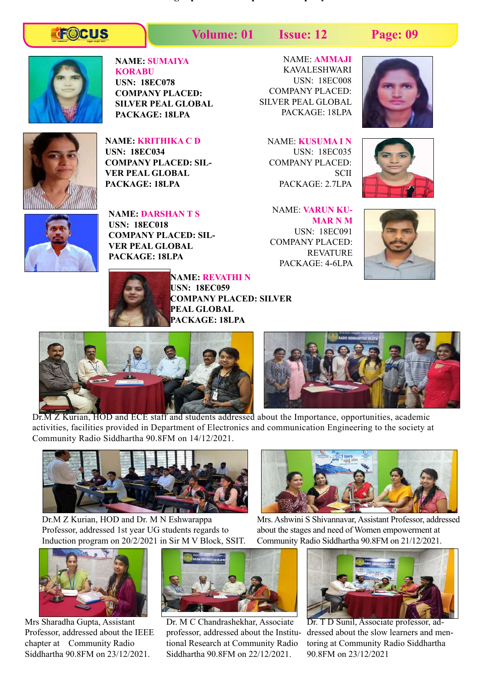## **TOCUS**

**Volume: 01 Issue: 12 Page: 09**

**The below students got placed for respective company.**



#### **NAME: SUMAIYA KORABU**

**USN: 18EC078 COMPANY PLACED: SILVER PEAL GLOBAL PACKAGE: 18LPA**



**NAME: KRITHIKA C D USN: 18EC034 COMPANY PLACED: SIL-VER PEAL GLOBAL PACKAGE: 18LPA**



**NAME: DARSHAN T S USN: 18EC018 COMPANY PLACED: SIL-VER PEAL GLOBAL PACKAGE: 18LPA**

NAME: **AMMAJI**  KAVALESHWARI USN: 18EC008 COMPANY PLACED: SILVER PEAL GLOBAL PACKAGE: 18LPA



NAME: **KUSUMA I N** USN: 18EC035 COMPANY PLACED: SCII PACKAGE: 2.7LPA

NAME: **VARUN KU-MAR N M** USN: 18EC091 COMPANY PLACED: REVATURE PACKAGE: 4-6LPA





**NAME: REVATHI N USN: 18EC059 COMPANY PLACED: SILVER PEAL GLOBAL PACKAGE: 18LPA**





Dr.M Z Kurian, HOD and ECE staff and students addressed about the Importance, opportunities, academic activities, facilities provided in Department of Electronics and communication Engineering to the society at Community Radio Siddhartha 90.8FM on 14/12/2021.



Dr.M Z Kurian, HOD and Dr. M N Eshwarappa Professor, addressed 1st year UG students regards to Induction program on 20/2/2021 in Sir M V Block, SSIT.



Mrs Sharadha Gupta, Assistant Professor, addressed about the IEEE chapter at Community Radio Siddhartha 90.8FM on 23/12/2021.



Dr. M C Chandrashekhar, Associate professor, addressed about the Institutional Research at Community Radio Siddhartha 90.8FM on 22/12/2021.



Mrs. Ashwini S Shivannavar, Assistant Professor, addressed about the stages and need of Women empowerment at Community Radio Siddhartha 90.8FM on 21/12/2021.



Dr. T D Sunil, Associate professor, addressed about the slow learners and mentoring at Community Radio Siddhartha 90.8FM on 23/12/2021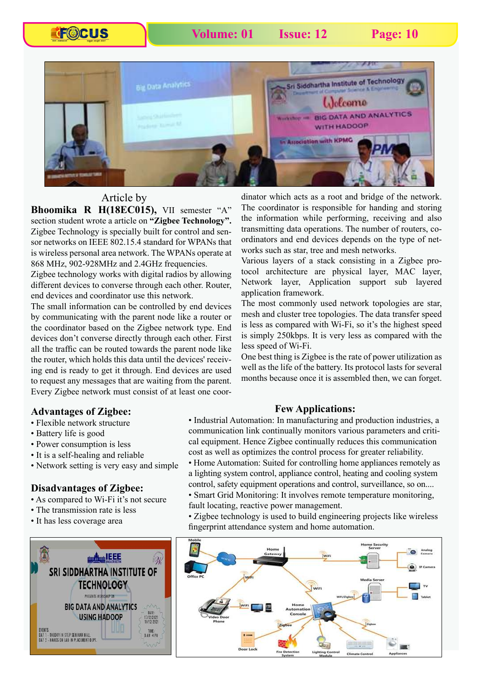**FOCUS** 



### Article by

**Bhoomika R H(18EC015),** VII semester "A" section student wrote a article on **"Zigbee Technology".** Zigbee Technology is specially built for control and sensor networks on IEEE 802.15.4 standard for WPANs that is wireless personal area network. The WPANs operate at 868 MHz, 902-928MHz and 2.4GHz frequencies.

Zigbee technology works with digital radios by allowing different devices to converse through each other. Router, end devices and coordinator use this network.

The small information can be controlled by end devices by communicating with the parent node like a router or the coordinator based on the Zigbee network type. End devices don't converse directly through each other. First all the traffic can be routed towards the parent node like the router, which holds this data until the devices' receiving end is ready to get it through. End devices are used to request any messages that are waiting from the parent. Every Zigbee network must consist of at least one coordinator which acts as a root and bridge of the network. The coordinator is responsible for handing and storing the information while performing, receiving and also transmitting data operations. The number of routers, coordinators and end devices depends on the type of networks such as star, tree and mesh networks.

Various layers of a stack consisting in a Zigbee protocol architecture are physical layer, MAC layer, Network layer, Application support sub layered application framework.

The most commonly used network topologies are star, mesh and cluster tree topologies. The data transfer speed is less as compared with Wi-Fi, so it's the highest speed is simply 250kbps. It is very less as compared with the less speed of Wi-Fi.

One best thing is Zigbee is the rate of power utilization as well as the life of the battery. Its protocol lasts for several months because once it is assembled then, we can forget.

#### **Few Applications:**

#### **Advantages of Zigbee:**

- Flexible network structure
- Battery life is good
- Power consumption is less
- It is a self-healing and reliable
- Network setting is very easy and simple

#### **Disadvantages of Zigbee:**

- As compared to Wi-Fi it's not secure
- The transmission rate is less
- It has less coverage area



• Industrial Automation: In manufacturing and production industries, a communication link continually monitors various parameters and critical equipment. Hence Zigbee continually reduces this communication cost as well as optimizes the control process for greater reliability.

• Home Automation: Suited for controlling home appliances remotely as a lighting system control, appliance control, heating and cooling system control, safety equipment operations and control, surveillance, so on.... • Smart Grid Monitoring: It involves remote temperature monitoring,

fault locating, reactive power management.

• Zigbee technology is used to build engineering projects like wireless fingerprint attendance system and home automation.